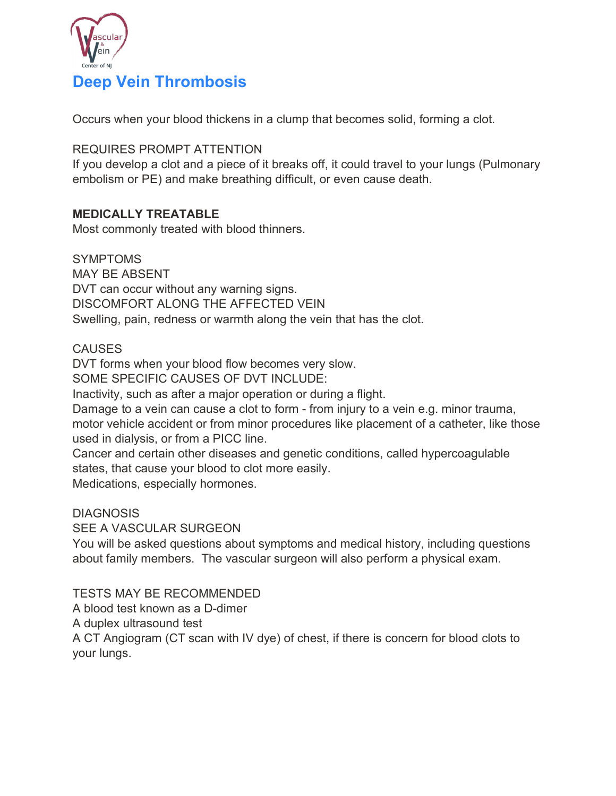

Occurs when your blood thickens in a clump that becomes solid, forming a clot.

REQUIRES PROMPT ATTENTION

If you develop a clot and a piece of it breaks off, it could travel to your lungs (Pulmonary embolism or PE) and make breathing difficult, or even cause death.

# **MEDICALLY TREATABLE**

Most commonly treated with blood thinners.

**SYMPTOMS** MAY BE ABSENT DVT can occur without any warning signs. DISCOMFORT ALONG THE AFFECTED VEIN Swelling, pain, redness or warmth along the vein that has the clot.

#### **CAUSES**

DVT forms when your blood flow becomes very slow.

SOME SPECIFIC CAUSES OF DVT INCLUDE:

Inactivity, such as after a major operation or during a flight.

Damage to a vein can cause a clot to form - from injury to a vein e.g. minor trauma, motor vehicle accident or from minor procedures like placement of a catheter, like those used in dialysis, or from a PICC line.

Cancer and certain other diseases and genetic conditions, called hypercoagulable states, that cause your blood to clot more easily.

Medications, especially hormones.

#### **DIAGNOSIS**

SEE A VASCULAR SURGEON

You will be asked questions about symptoms and medical history, including questions about family members. The vascular surgeon will also perform a physical exam.

#### TESTS MAY BE RECOMMENDED

A blood test known as a D-dimer

A duplex ultrasound test

A CT Angiogram (CT scan with IV dye) of chest, if there is concern for blood clots to your lungs.